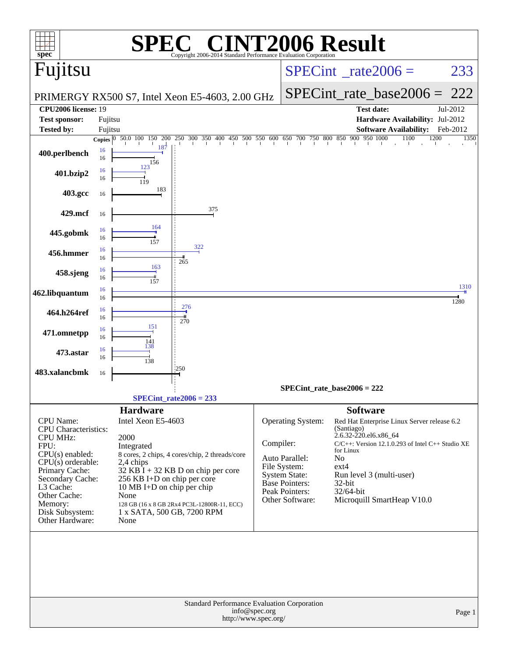| spec <sup>®</sup>                  |          |                                                                     | Copyright 2006-2014 Standard Performance Evaluation Corporation                                                                                                                                                                                                        |                                       |                                      | <b>T2006 Result</b>                                                            |              |
|------------------------------------|----------|---------------------------------------------------------------------|------------------------------------------------------------------------------------------------------------------------------------------------------------------------------------------------------------------------------------------------------------------------|---------------------------------------|--------------------------------------|--------------------------------------------------------------------------------|--------------|
| Fujitsu                            |          |                                                                     |                                                                                                                                                                                                                                                                        |                                       |                                      | $SPECint^{\circ}$ rate $2006 =$                                                | 233          |
|                                    |          |                                                                     | PRIMERGY RX500 S7, Intel Xeon E5-4603, 2.00 GHz                                                                                                                                                                                                                        |                                       |                                      | $SPECint_rate\_base2006 =$                                                     | 222          |
| <b>CPU2006</b> license: 19         |          |                                                                     |                                                                                                                                                                                                                                                                        |                                       |                                      | <b>Test date:</b>                                                              | Jul-2012     |
| <b>Test sponsor:</b>               | Fujitsu  |                                                                     |                                                                                                                                                                                                                                                                        |                                       |                                      | Hardware Availability: Jul-2012                                                |              |
| <b>Tested by:</b>                  | Fujitsu  |                                                                     |                                                                                                                                                                                                                                                                        |                                       |                                      | <b>Software Availability:</b>                                                  | Feb-2012     |
|                                    |          | Copies $\begin{array}{ l} 0 & 50.0 & 100 \end{array}$<br>200<br>150 | $\frac{300}{1} \quad \frac{350}{1} \quad \frac{400}{1} \quad \frac{450}{1} \quad \frac{500}{1} \quad \frac{550}{1} \quad \frac{600}{1} \quad \frac{650}{1} \quad \frac{700}{1} \quad \frac{750}{1} \quad \frac{800}{1} \quad \frac{850}{1} \quad \frac{900}{1}$<br>250 |                                       |                                      | 950 1000<br>1100<br>1200                                                       | 1350         |
| 400.perlbench                      | 16<br>16 | 187<br>156                                                          |                                                                                                                                                                                                                                                                        |                                       |                                      |                                                                                |              |
| 401.bzip2                          | 16<br>16 | 123<br>119                                                          |                                                                                                                                                                                                                                                                        |                                       |                                      |                                                                                |              |
| 403.gcc                            | 16       | 183                                                                 |                                                                                                                                                                                                                                                                        |                                       |                                      |                                                                                |              |
| 429.mcf                            | 16       |                                                                     | 375                                                                                                                                                                                                                                                                    |                                       |                                      |                                                                                |              |
| 445.gobmk                          | 16<br>16 | 164<br>157                                                          |                                                                                                                                                                                                                                                                        |                                       |                                      |                                                                                |              |
| 456.hmmer                          | 16<br>16 |                                                                     | 322<br>265                                                                                                                                                                                                                                                             |                                       |                                      |                                                                                |              |
| 458.sjeng                          | 16<br>16 | 163<br>157                                                          |                                                                                                                                                                                                                                                                        |                                       |                                      |                                                                                |              |
| 462.libquantum                     | 16<br>16 |                                                                     |                                                                                                                                                                                                                                                                        |                                       |                                      |                                                                                | 1310<br>1280 |
| 464.h264ref                        | 16<br>16 |                                                                     | 276<br>270                                                                                                                                                                                                                                                             |                                       |                                      |                                                                                |              |
| 471.omnetpp                        | 16<br>16 | 151<br>141<br>138                                                   |                                                                                                                                                                                                                                                                        |                                       |                                      |                                                                                |              |
| 473.astar                          | 16<br>16 | 138                                                                 |                                                                                                                                                                                                                                                                        |                                       |                                      |                                                                                |              |
| 483.xalancbmk                      | 16       |                                                                     | 1250                                                                                                                                                                                                                                                                   |                                       |                                      |                                                                                |              |
|                                    |          |                                                                     | $SPECint_rate2006 = 233$                                                                                                                                                                                                                                               |                                       |                                      | $SPECint_rate_base2006 = 222$                                                  |              |
|                                    |          | <b>Hardware</b>                                                     |                                                                                                                                                                                                                                                                        |                                       |                                      | <b>Software</b>                                                                |              |
| <b>CPU</b> Name:                   |          | Intel Xeon E5-4603                                                  |                                                                                                                                                                                                                                                                        |                                       | Operating System:                    | Red Hat Enterprise Linux Server release 6.2                                    |              |
| <b>CPU</b> Characteristics:        |          |                                                                     |                                                                                                                                                                                                                                                                        |                                       |                                      | (Santiago)                                                                     |              |
| <b>CPU MHz:</b>                    |          | 2000                                                                |                                                                                                                                                                                                                                                                        | Compiler:                             |                                      | 2.6.32-220.el6.x86_64<br>$C/C++$ : Version 12.1.0.293 of Intel $C++$ Studio XE |              |
| FPU:<br>CPU(s) enabled:            |          | Integrated                                                          | 8 cores, 2 chips, 4 cores/chip, 2 threads/core                                                                                                                                                                                                                         |                                       |                                      | for Linux                                                                      |              |
| $CPU(s)$ orderable:                |          | 2,4 chips                                                           |                                                                                                                                                                                                                                                                        |                                       | Auto Parallel:                       | N <sub>o</sub>                                                                 |              |
| Primary Cache:                     |          |                                                                     | $32$ KB I + 32 KB D on chip per core                                                                                                                                                                                                                                   |                                       | File System:<br><b>System State:</b> | $ext{4}$<br>Run level 3 (multi-user)                                           |              |
| Secondary Cache:<br>L3 Cache:      |          | 256 KB I+D on chip per core<br>10 MB I+D on chip per chip           |                                                                                                                                                                                                                                                                        |                                       | Base Pointers:                       | 32-bit                                                                         |              |
| Other Cache:                       |          | None                                                                |                                                                                                                                                                                                                                                                        |                                       | Peak Pointers:                       | 32/64-bit                                                                      |              |
| Memory:                            |          |                                                                     | 128 GB (16 x 8 GB 2Rx4 PC3L-12800R-11, ECC)                                                                                                                                                                                                                            |                                       | Other Software:                      | Microquill SmartHeap V10.0                                                     |              |
| Disk Subsystem:<br>Other Hardware: |          | 1 x SATA, 500 GB, 7200 RPM<br>None                                  |                                                                                                                                                                                                                                                                        |                                       |                                      |                                                                                |              |
|                                    |          |                                                                     |                                                                                                                                                                                                                                                                        |                                       |                                      |                                                                                |              |
|                                    |          |                                                                     | Standard Performance Evaluation Corporation                                                                                                                                                                                                                            | info@spec.org<br>http://www.spec.org/ |                                      |                                                                                | Page 1       |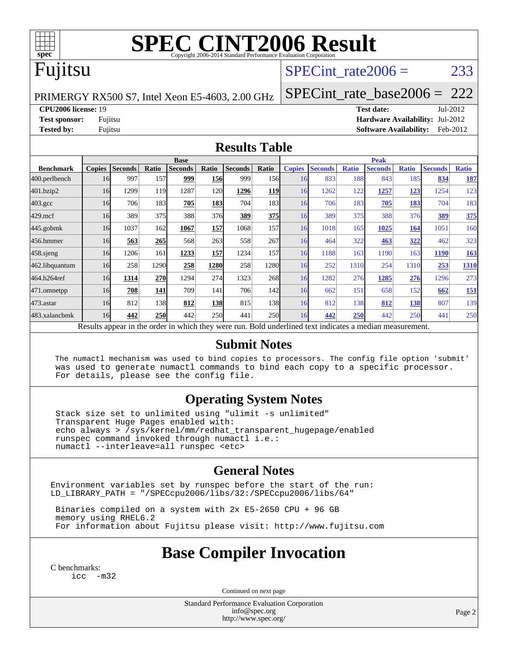

# **[SPEC CINT2006 Result](http://www.spec.org/auto/cpu2006/Docs/result-fields.html#SPECCINT2006Result)**

### Fujitsu

#### SPECint rate $2006 = 233$

PRIMERGY RX500 S7, Intel Xeon E5-4603, 2.00 GHz

[SPECint\\_rate\\_base2006 =](http://www.spec.org/auto/cpu2006/Docs/result-fields.html#SPECintratebase2006) 222

**[CPU2006 license:](http://www.spec.org/auto/cpu2006/Docs/result-fields.html#CPU2006license)** 19 **[Test date:](http://www.spec.org/auto/cpu2006/Docs/result-fields.html#Testdate)** Jul-2012

**[Test sponsor:](http://www.spec.org/auto/cpu2006/Docs/result-fields.html#Testsponsor)** Fujitsu **[Hardware Availability:](http://www.spec.org/auto/cpu2006/Docs/result-fields.html#HardwareAvailability)** Jul-2012 **[Tested by:](http://www.spec.org/auto/cpu2006/Docs/result-fields.html#Testedby)** Fujitsu **[Software Availability:](http://www.spec.org/auto/cpu2006/Docs/result-fields.html#SoftwareAvailability)** Feb-2012

#### **[Results Table](http://www.spec.org/auto/cpu2006/Docs/result-fields.html#ResultsTable)**

|                    | <b>Base</b>                                                                                              |                |              |                |            |                |            | <b>Peak</b>   |                |              |                |              |                |              |
|--------------------|----------------------------------------------------------------------------------------------------------|----------------|--------------|----------------|------------|----------------|------------|---------------|----------------|--------------|----------------|--------------|----------------|--------------|
| <b>Benchmark</b>   | <b>Copies</b>                                                                                            | <b>Seconds</b> | <b>Ratio</b> | <b>Seconds</b> | Ratio      | <b>Seconds</b> | Ratio      | <b>Copies</b> | <b>Seconds</b> | <b>Ratio</b> | <b>Seconds</b> | <b>Ratio</b> | <b>Seconds</b> | <b>Ratio</b> |
| 400.perlbench      | 16                                                                                                       | 997            | 157          | 999            | 156        | 999            | 156        | 16            | 833            | 188          | 843            | 185          | 834            | <u>187</u>   |
| 401.bzip2          | 16                                                                                                       | 1299           | 119          | 1287           | 120        | 1296           | <b>119</b> | 16            | 1262           | 122          | 1257           | <u>123</u>   | 1254           | 123          |
| $403.\mathrm{gcc}$ | 16                                                                                                       | 706            | 183          | 705            | 183        | 704            | 183I       | 16            | 706            | 183          | 705            | 183          | 704            | 183          |
| $429$ .mcf         | 16                                                                                                       | 389            | 375          | 388            | 376        | 389            | <b>375</b> | 16            | 389            | 375          | 388            | 376          | 389            | 375          |
| $445$ .gobm $k$    | 16                                                                                                       | 1037           | 162          | 1067           | 157        | 1068           | 157        | 16            | 1018           | 165          | 1025           | 164          | 1051           | 160          |
| 456.hmmer          | 16                                                                                                       | 563            | 265          | 568            | 263        | 558            | 267        | 16            | 464            | 322          | 463            | 322          | 462            | 323          |
| $458$ .sjeng       | 16                                                                                                       | 1206           | 161          | 1233           | 157        | 1234           | 157        | 16            | 1188           | 163          | 1190           | 163          | 1190           | 163          |
| 462.libquantum     | 16                                                                                                       | 258            | 1290         | 258            | 1280       | 258            | 12801      | 16            | 252            | 1310         | 254            | 1310         | 253            | 1310         |
| 464.h264ref        | 16                                                                                                       | 1314           | 270          | 1294           | 274        | 1323           | 268        | 16            | 1282           | 276          | 1285           | 276          | 1296           | 273          |
| 471.omnetpp        | 16                                                                                                       | 708            | 141          | 709            | 141        | 706            | 142        | 16            | 662            | 151          | 658            | 152          | 662            | <u>151</u>   |
| $473$ . astar      | 16                                                                                                       | 812            | 138          | 812            | 138        | 815            | 138I       | 16            | 812            | 138          | 812            | 138          | 807            | 139          |
| 483.xalancbmk      | 16                                                                                                       | 442            | 250          | 442            | <b>250</b> | 441            | <b>250</b> | 16            | 442            | 250          | 442            | 250          | 441            | 250          |
|                    | Results appear in the order in which they were run. Bold underlined text indicates a median measurement. |                |              |                |            |                |            |               |                |              |                |              |                |              |

#### **[Submit Notes](http://www.spec.org/auto/cpu2006/Docs/result-fields.html#SubmitNotes)**

 The numactl mechanism was used to bind copies to processors. The config file option 'submit' was used to generate numactl commands to bind each copy to a specific processor. For details, please see the config file.

#### **[Operating System Notes](http://www.spec.org/auto/cpu2006/Docs/result-fields.html#OperatingSystemNotes)**

 Stack size set to unlimited using "ulimit -s unlimited" Transparent Huge Pages enabled with: echo always > /sys/kernel/mm/redhat\_transparent\_hugepage/enabled runspec command invoked through numactl i.e.: numactl --interleave=all runspec <etc>

#### **[General Notes](http://www.spec.org/auto/cpu2006/Docs/result-fields.html#GeneralNotes)**

Environment variables set by runspec before the start of the run: LD\_LIBRARY\_PATH = "/SPECcpu2006/libs/32:/SPECcpu2006/libs/64"

 Binaries compiled on a system with 2x E5-2650 CPU + 96 GB memory using RHEL6.2 For information about Fujitsu please visit: <http://www.fujitsu.com>

#### **[Base Compiler Invocation](http://www.spec.org/auto/cpu2006/Docs/result-fields.html#BaseCompilerInvocation)**

[C benchmarks](http://www.spec.org/auto/cpu2006/Docs/result-fields.html#Cbenchmarks): [icc -m32](http://www.spec.org/cpu2006/results/res2012q3/cpu2006-20120730-23926.flags.html#user_CCbase_intel_icc_5ff4a39e364c98233615fdd38438c6f2)

Continued on next page

Standard Performance Evaluation Corporation [info@spec.org](mailto:info@spec.org) <http://www.spec.org/>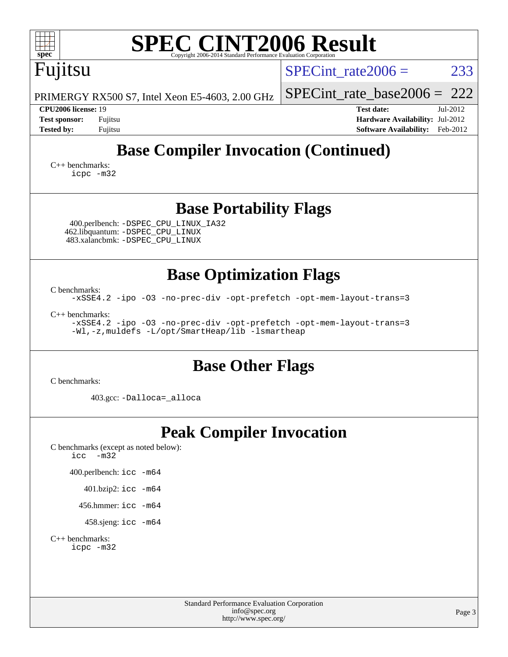| <b>SPEC CINT2006 Result</b><br>$spec^*$<br>Copyright 2006-2014 Standard Performance Evaluation Corporation                                       |                                                                                                               |  |  |  |  |  |  |
|--------------------------------------------------------------------------------------------------------------------------------------------------|---------------------------------------------------------------------------------------------------------------|--|--|--|--|--|--|
| Fujitsu                                                                                                                                          | 233<br>SPECint rate $2006 =$                                                                                  |  |  |  |  |  |  |
| PRIMERGY RX500 S7, Intel Xeon E5-4603, 2.00 GHz                                                                                                  | $SPECint_rate\_base2006 = 222$                                                                                |  |  |  |  |  |  |
| <b>CPU2006</b> license: 19<br><b>Test sponsor:</b><br>Fujitsu<br><b>Tested by:</b><br>Fujitsu                                                    | Jul-2012<br><b>Test date:</b><br>Hardware Availability: Jul-2012<br><b>Software Availability:</b><br>Feb-2012 |  |  |  |  |  |  |
| <b>Base Compiler Invocation (Continued)</b>                                                                                                      |                                                                                                               |  |  |  |  |  |  |
| $C_{++}$ benchmarks:<br>icpc -m32                                                                                                                |                                                                                                               |  |  |  |  |  |  |
| <b>Base Portability Flags</b>                                                                                                                    |                                                                                                               |  |  |  |  |  |  |
| 400.perlbench: -DSPEC_CPU_LINUX_IA32<br>462.libquantum: - DSPEC_CPU_LINUX<br>483.xalancbmk: -DSPEC_CPU_LINUX                                     |                                                                                                               |  |  |  |  |  |  |
| <b>Base Optimization Flags</b>                                                                                                                   |                                                                                                               |  |  |  |  |  |  |
| C benchmarks:<br>-xSSE4.2 -ipo -03 -no-prec-div -opt-prefetch -opt-mem-layout-trans=3                                                            |                                                                                                               |  |  |  |  |  |  |
| $C_{++}$ benchmarks:<br>-xSSE4.2 -ipo -03 -no-prec-div -opt-prefetch -opt-mem-layout-trans=3<br>-Wl,-z, muldefs -L/opt/SmartHeap/lib -lsmartheap |                                                                                                               |  |  |  |  |  |  |
| <b>Base Other Flags</b><br>C benchmarks:                                                                                                         |                                                                                                               |  |  |  |  |  |  |
| 403.gcc: -Dalloca=_alloca                                                                                                                        |                                                                                                               |  |  |  |  |  |  |
| <b>Peak Compiler Invocation</b><br>C benchmarks (except as noted below):<br>icc<br>$-m32$                                                        |                                                                                                               |  |  |  |  |  |  |
| 400.perlbench: icc -m64                                                                                                                          |                                                                                                               |  |  |  |  |  |  |
| 401.bzip2: icc -m64                                                                                                                              |                                                                                                               |  |  |  |  |  |  |
| 456.hmmer: $\text{icc}$ -m64                                                                                                                     |                                                                                                               |  |  |  |  |  |  |
| 458.sjeng: $\text{icc}$ -m64                                                                                                                     |                                                                                                               |  |  |  |  |  |  |
| $C_{++}$ benchmarks:<br>icpc -m32                                                                                                                |                                                                                                               |  |  |  |  |  |  |
| Standard Performance Evaluation Corporation<br>info@spec.org<br>http://www.spec.org/                                                             | Page 3                                                                                                        |  |  |  |  |  |  |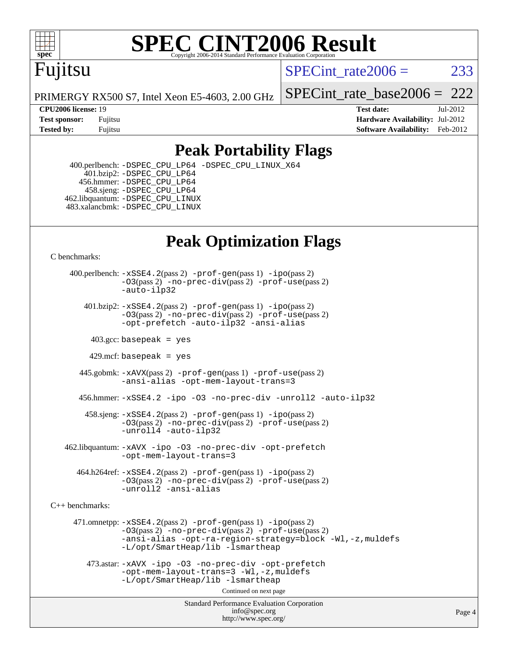

# **[SPEC CINT2006 Result](http://www.spec.org/auto/cpu2006/Docs/result-fields.html#SPECCINT2006Result)**

## Fujitsu

SPECint rate $2006 = 233$ 

PRIMERGY RX500 S7, Intel Xeon E5-4603, 2.00 GHz

#### **[CPU2006 license:](http://www.spec.org/auto/cpu2006/Docs/result-fields.html#CPU2006license)** 19 **[Test date:](http://www.spec.org/auto/cpu2006/Docs/result-fields.html#Testdate)** Jul-2012

[SPECint\\_rate\\_base2006 =](http://www.spec.org/auto/cpu2006/Docs/result-fields.html#SPECintratebase2006) 222

**[Test sponsor:](http://www.spec.org/auto/cpu2006/Docs/result-fields.html#Testsponsor)** Fujitsu **[Hardware Availability:](http://www.spec.org/auto/cpu2006/Docs/result-fields.html#HardwareAvailability)** Jul-2012 **[Tested by:](http://www.spec.org/auto/cpu2006/Docs/result-fields.html#Testedby)** Fujitsu **Fugital Example 2012 [Software Availability:](http://www.spec.org/auto/cpu2006/Docs/result-fields.html#SoftwareAvailability)** Feb-2012

#### **[Peak Portability Flags](http://www.spec.org/auto/cpu2006/Docs/result-fields.html#PeakPortabilityFlags)**

 400.perlbench: [-DSPEC\\_CPU\\_LP64](http://www.spec.org/cpu2006/results/res2012q3/cpu2006-20120730-23926.flags.html#b400.perlbench_peakCPORTABILITY_DSPEC_CPU_LP64) [-DSPEC\\_CPU\\_LINUX\\_X64](http://www.spec.org/cpu2006/results/res2012q3/cpu2006-20120730-23926.flags.html#b400.perlbench_peakCPORTABILITY_DSPEC_CPU_LINUX_X64)  $401.bzip2: -DSPEC_CPULP64$  456.hmmer: [-DSPEC\\_CPU\\_LP64](http://www.spec.org/cpu2006/results/res2012q3/cpu2006-20120730-23926.flags.html#suite_peakCPORTABILITY456_hmmer_DSPEC_CPU_LP64) 458.sjeng: [-DSPEC\\_CPU\\_LP64](http://www.spec.org/cpu2006/results/res2012q3/cpu2006-20120730-23926.flags.html#suite_peakCPORTABILITY458_sjeng_DSPEC_CPU_LP64) 462.libquantum: [-DSPEC\\_CPU\\_LINUX](http://www.spec.org/cpu2006/results/res2012q3/cpu2006-20120730-23926.flags.html#b462.libquantum_peakCPORTABILITY_DSPEC_CPU_LINUX) 483.xalancbmk: [-DSPEC\\_CPU\\_LINUX](http://www.spec.org/cpu2006/results/res2012q3/cpu2006-20120730-23926.flags.html#b483.xalancbmk_peakCXXPORTABILITY_DSPEC_CPU_LINUX)

### **[Peak Optimization Flags](http://www.spec.org/auto/cpu2006/Docs/result-fields.html#PeakOptimizationFlags)**

[C benchmarks](http://www.spec.org/auto/cpu2006/Docs/result-fields.html#Cbenchmarks):

 400.perlbench: [-xSSE4.2](http://www.spec.org/cpu2006/results/res2012q3/cpu2006-20120730-23926.flags.html#user_peakPASS2_CFLAGSPASS2_LDCFLAGS400_perlbench_f-xSSE42_f91528193cf0b216347adb8b939d4107)(pass 2) [-prof-gen](http://www.spec.org/cpu2006/results/res2012q3/cpu2006-20120730-23926.flags.html#user_peakPASS1_CFLAGSPASS1_LDCFLAGS400_perlbench_prof_gen_e43856698f6ca7b7e442dfd80e94a8fc)(pass 1) [-ipo](http://www.spec.org/cpu2006/results/res2012q3/cpu2006-20120730-23926.flags.html#user_peakPASS2_CFLAGSPASS2_LDCFLAGS400_perlbench_f-ipo)(pass 2) [-O3](http://www.spec.org/cpu2006/results/res2012q3/cpu2006-20120730-23926.flags.html#user_peakPASS2_CFLAGSPASS2_LDCFLAGS400_perlbench_f-O3)(pass 2) [-no-prec-div](http://www.spec.org/cpu2006/results/res2012q3/cpu2006-20120730-23926.flags.html#user_peakPASS2_CFLAGSPASS2_LDCFLAGS400_perlbench_f-no-prec-div)(pass 2) [-prof-use](http://www.spec.org/cpu2006/results/res2012q3/cpu2006-20120730-23926.flags.html#user_peakPASS2_CFLAGSPASS2_LDCFLAGS400_perlbench_prof_use_bccf7792157ff70d64e32fe3e1250b55)(pass 2) [-auto-ilp32](http://www.spec.org/cpu2006/results/res2012q3/cpu2006-20120730-23926.flags.html#user_peakCOPTIMIZE400_perlbench_f-auto-ilp32)  $401.bzip2: -xSSE4.2(pass 2) -prof-qen(pass 1) -ipo(pass 2)$  $401.bzip2: -xSSE4.2(pass 2) -prof-qen(pass 1) -ipo(pass 2)$  $401.bzip2: -xSSE4.2(pass 2) -prof-qen(pass 1) -ipo(pass 2)$  $401.bzip2: -xSSE4.2(pass 2) -prof-qen(pass 1) -ipo(pass 2)$  $401.bzip2: -xSSE4.2(pass 2) -prof-qen(pass 1) -ipo(pass 2)$ [-O3](http://www.spec.org/cpu2006/results/res2012q3/cpu2006-20120730-23926.flags.html#user_peakPASS2_CFLAGSPASS2_LDCFLAGS401_bzip2_f-O3)(pass 2) [-no-prec-div](http://www.spec.org/cpu2006/results/res2012q3/cpu2006-20120730-23926.flags.html#user_peakPASS2_CFLAGSPASS2_LDCFLAGS401_bzip2_f-no-prec-div)(pass 2) [-prof-use](http://www.spec.org/cpu2006/results/res2012q3/cpu2006-20120730-23926.flags.html#user_peakPASS2_CFLAGSPASS2_LDCFLAGS401_bzip2_prof_use_bccf7792157ff70d64e32fe3e1250b55)(pass 2) [-opt-prefetch](http://www.spec.org/cpu2006/results/res2012q3/cpu2006-20120730-23926.flags.html#user_peakCOPTIMIZE401_bzip2_f-opt-prefetch) [-auto-ilp32](http://www.spec.org/cpu2006/results/res2012q3/cpu2006-20120730-23926.flags.html#user_peakCOPTIMIZE401_bzip2_f-auto-ilp32) [-ansi-alias](http://www.spec.org/cpu2006/results/res2012q3/cpu2006-20120730-23926.flags.html#user_peakCOPTIMIZE401_bzip2_f-ansi-alias)  $403.\text{sec: basepeak}$  = yes 429.mcf: basepeak = yes 445.gobmk: [-xAVX](http://www.spec.org/cpu2006/results/res2012q3/cpu2006-20120730-23926.flags.html#user_peakPASS2_CFLAGSPASS2_LDCFLAGS445_gobmk_f-xAVX)(pass 2) [-prof-gen](http://www.spec.org/cpu2006/results/res2012q3/cpu2006-20120730-23926.flags.html#user_peakPASS1_CFLAGSPASS1_LDCFLAGS445_gobmk_prof_gen_e43856698f6ca7b7e442dfd80e94a8fc)(pass 1) [-prof-use](http://www.spec.org/cpu2006/results/res2012q3/cpu2006-20120730-23926.flags.html#user_peakPASS2_CFLAGSPASS2_LDCFLAGS445_gobmk_prof_use_bccf7792157ff70d64e32fe3e1250b55)(pass 2) [-ansi-alias](http://www.spec.org/cpu2006/results/res2012q3/cpu2006-20120730-23926.flags.html#user_peakCOPTIMIZE445_gobmk_f-ansi-alias) [-opt-mem-layout-trans=3](http://www.spec.org/cpu2006/results/res2012q3/cpu2006-20120730-23926.flags.html#user_peakCOPTIMIZE445_gobmk_f-opt-mem-layout-trans_a7b82ad4bd7abf52556d4961a2ae94d5) 456.hmmer: [-xSSE4.2](http://www.spec.org/cpu2006/results/res2012q3/cpu2006-20120730-23926.flags.html#user_peakCOPTIMIZE456_hmmer_f-xSSE42_f91528193cf0b216347adb8b939d4107) [-ipo](http://www.spec.org/cpu2006/results/res2012q3/cpu2006-20120730-23926.flags.html#user_peakCOPTIMIZE456_hmmer_f-ipo) [-O3](http://www.spec.org/cpu2006/results/res2012q3/cpu2006-20120730-23926.flags.html#user_peakCOPTIMIZE456_hmmer_f-O3) [-no-prec-div](http://www.spec.org/cpu2006/results/res2012q3/cpu2006-20120730-23926.flags.html#user_peakCOPTIMIZE456_hmmer_f-no-prec-div) [-unroll2](http://www.spec.org/cpu2006/results/res2012q3/cpu2006-20120730-23926.flags.html#user_peakCOPTIMIZE456_hmmer_f-unroll_784dae83bebfb236979b41d2422d7ec2) [-auto-ilp32](http://www.spec.org/cpu2006/results/res2012q3/cpu2006-20120730-23926.flags.html#user_peakCOPTIMIZE456_hmmer_f-auto-ilp32) 458.sjeng: [-xSSE4.2](http://www.spec.org/cpu2006/results/res2012q3/cpu2006-20120730-23926.flags.html#user_peakPASS2_CFLAGSPASS2_LDCFLAGS458_sjeng_f-xSSE42_f91528193cf0b216347adb8b939d4107)(pass 2) [-prof-gen](http://www.spec.org/cpu2006/results/res2012q3/cpu2006-20120730-23926.flags.html#user_peakPASS1_CFLAGSPASS1_LDCFLAGS458_sjeng_prof_gen_e43856698f6ca7b7e442dfd80e94a8fc)(pass 1) [-ipo](http://www.spec.org/cpu2006/results/res2012q3/cpu2006-20120730-23926.flags.html#user_peakPASS2_CFLAGSPASS2_LDCFLAGS458_sjeng_f-ipo)(pass 2) [-O3](http://www.spec.org/cpu2006/results/res2012q3/cpu2006-20120730-23926.flags.html#user_peakPASS2_CFLAGSPASS2_LDCFLAGS458_sjeng_f-O3)(pass 2) [-no-prec-div](http://www.spec.org/cpu2006/results/res2012q3/cpu2006-20120730-23926.flags.html#user_peakPASS2_CFLAGSPASS2_LDCFLAGS458_sjeng_f-no-prec-div)(pass 2) [-prof-use](http://www.spec.org/cpu2006/results/res2012q3/cpu2006-20120730-23926.flags.html#user_peakPASS2_CFLAGSPASS2_LDCFLAGS458_sjeng_prof_use_bccf7792157ff70d64e32fe3e1250b55)(pass 2) [-unroll4](http://www.spec.org/cpu2006/results/res2012q3/cpu2006-20120730-23926.flags.html#user_peakCOPTIMIZE458_sjeng_f-unroll_4e5e4ed65b7fd20bdcd365bec371b81f) [-auto-ilp32](http://www.spec.org/cpu2006/results/res2012q3/cpu2006-20120730-23926.flags.html#user_peakCOPTIMIZE458_sjeng_f-auto-ilp32) 462.libquantum: [-xAVX](http://www.spec.org/cpu2006/results/res2012q3/cpu2006-20120730-23926.flags.html#user_peakCOPTIMIZE462_libquantum_f-xAVX) [-ipo](http://www.spec.org/cpu2006/results/res2012q3/cpu2006-20120730-23926.flags.html#user_peakCOPTIMIZE462_libquantum_f-ipo) [-O3](http://www.spec.org/cpu2006/results/res2012q3/cpu2006-20120730-23926.flags.html#user_peakCOPTIMIZE462_libquantum_f-O3) [-no-prec-div](http://www.spec.org/cpu2006/results/res2012q3/cpu2006-20120730-23926.flags.html#user_peakCOPTIMIZE462_libquantum_f-no-prec-div) [-opt-prefetch](http://www.spec.org/cpu2006/results/res2012q3/cpu2006-20120730-23926.flags.html#user_peakCOPTIMIZE462_libquantum_f-opt-prefetch) [-opt-mem-layout-trans=3](http://www.spec.org/cpu2006/results/res2012q3/cpu2006-20120730-23926.flags.html#user_peakCOPTIMIZE462_libquantum_f-opt-mem-layout-trans_a7b82ad4bd7abf52556d4961a2ae94d5)  $464.h264$ ref:  $-xSSE4$ .  $2(pass 2)$  [-prof-gen](http://www.spec.org/cpu2006/results/res2012q3/cpu2006-20120730-23926.flags.html#user_peakPASS1_CFLAGSPASS1_LDCFLAGS464_h264ref_prof_gen_e43856698f6ca7b7e442dfd80e94a8fc) $(pass 1)$  [-ipo](http://www.spec.org/cpu2006/results/res2012q3/cpu2006-20120730-23926.flags.html#user_peakPASS2_CFLAGSPASS2_LDCFLAGS464_h264ref_f-ipo) $(pass 2)$ [-O3](http://www.spec.org/cpu2006/results/res2012q3/cpu2006-20120730-23926.flags.html#user_peakPASS2_CFLAGSPASS2_LDCFLAGS464_h264ref_f-O3)(pass 2) [-no-prec-div](http://www.spec.org/cpu2006/results/res2012q3/cpu2006-20120730-23926.flags.html#user_peakPASS2_CFLAGSPASS2_LDCFLAGS464_h264ref_f-no-prec-div)(pass 2) [-prof-use](http://www.spec.org/cpu2006/results/res2012q3/cpu2006-20120730-23926.flags.html#user_peakPASS2_CFLAGSPASS2_LDCFLAGS464_h264ref_prof_use_bccf7792157ff70d64e32fe3e1250b55)(pass 2) [-unroll2](http://www.spec.org/cpu2006/results/res2012q3/cpu2006-20120730-23926.flags.html#user_peakCOPTIMIZE464_h264ref_f-unroll_784dae83bebfb236979b41d2422d7ec2) [-ansi-alias](http://www.spec.org/cpu2006/results/res2012q3/cpu2006-20120730-23926.flags.html#user_peakCOPTIMIZE464_h264ref_f-ansi-alias) [C++ benchmarks:](http://www.spec.org/auto/cpu2006/Docs/result-fields.html#CXXbenchmarks)

 471.omnetpp: [-xSSE4.2](http://www.spec.org/cpu2006/results/res2012q3/cpu2006-20120730-23926.flags.html#user_peakPASS2_CXXFLAGSPASS2_LDCXXFLAGS471_omnetpp_f-xSSE42_f91528193cf0b216347adb8b939d4107)(pass 2) [-prof-gen](http://www.spec.org/cpu2006/results/res2012q3/cpu2006-20120730-23926.flags.html#user_peakPASS1_CXXFLAGSPASS1_LDCXXFLAGS471_omnetpp_prof_gen_e43856698f6ca7b7e442dfd80e94a8fc)(pass 1) [-ipo](http://www.spec.org/cpu2006/results/res2012q3/cpu2006-20120730-23926.flags.html#user_peakPASS2_CXXFLAGSPASS2_LDCXXFLAGS471_omnetpp_f-ipo)(pass 2) [-O3](http://www.spec.org/cpu2006/results/res2012q3/cpu2006-20120730-23926.flags.html#user_peakPASS2_CXXFLAGSPASS2_LDCXXFLAGS471_omnetpp_f-O3)(pass 2) [-no-prec-div](http://www.spec.org/cpu2006/results/res2012q3/cpu2006-20120730-23926.flags.html#user_peakPASS2_CXXFLAGSPASS2_LDCXXFLAGS471_omnetpp_f-no-prec-div)(pass 2) [-prof-use](http://www.spec.org/cpu2006/results/res2012q3/cpu2006-20120730-23926.flags.html#user_peakPASS2_CXXFLAGSPASS2_LDCXXFLAGS471_omnetpp_prof_use_bccf7792157ff70d64e32fe3e1250b55)(pass 2) [-ansi-alias](http://www.spec.org/cpu2006/results/res2012q3/cpu2006-20120730-23926.flags.html#user_peakCXXOPTIMIZE471_omnetpp_f-ansi-alias) [-opt-ra-region-strategy=block](http://www.spec.org/cpu2006/results/res2012q3/cpu2006-20120730-23926.flags.html#user_peakCXXOPTIMIZE471_omnetpp_f-opt-ra-region-strategy_a0a37c372d03933b2a18d4af463c1f69) [-Wl,-z,muldefs](http://www.spec.org/cpu2006/results/res2012q3/cpu2006-20120730-23926.flags.html#user_peakEXTRA_LDFLAGS471_omnetpp_link_force_multiple1_74079c344b956b9658436fd1b6dd3a8a) [-L/opt/SmartHeap/lib -lsmartheap](http://www.spec.org/cpu2006/results/res2012q3/cpu2006-20120730-23926.flags.html#user_peakEXTRA_LIBS471_omnetpp_SmartHeap_1046f488ce4b4d9d2689b01742ccb999)

 473.astar: [-xAVX](http://www.spec.org/cpu2006/results/res2012q3/cpu2006-20120730-23926.flags.html#user_peakCXXOPTIMIZE473_astar_f-xAVX) [-ipo](http://www.spec.org/cpu2006/results/res2012q3/cpu2006-20120730-23926.flags.html#user_peakCXXOPTIMIZE473_astar_f-ipo) [-O3](http://www.spec.org/cpu2006/results/res2012q3/cpu2006-20120730-23926.flags.html#user_peakCXXOPTIMIZE473_astar_f-O3) [-no-prec-div](http://www.spec.org/cpu2006/results/res2012q3/cpu2006-20120730-23926.flags.html#user_peakCXXOPTIMIZE473_astar_f-no-prec-div) [-opt-prefetch](http://www.spec.org/cpu2006/results/res2012q3/cpu2006-20120730-23926.flags.html#user_peakCXXOPTIMIZE473_astar_f-opt-prefetch) [-opt-mem-layout-trans=3](http://www.spec.org/cpu2006/results/res2012q3/cpu2006-20120730-23926.flags.html#user_peakCXXOPTIMIZE473_astar_f-opt-mem-layout-trans_a7b82ad4bd7abf52556d4961a2ae94d5) [-Wl,-z,muldefs](http://www.spec.org/cpu2006/results/res2012q3/cpu2006-20120730-23926.flags.html#user_peakEXTRA_LDFLAGS473_astar_link_force_multiple1_74079c344b956b9658436fd1b6dd3a8a) [-L/opt/SmartHeap/lib -lsmartheap](http://www.spec.org/cpu2006/results/res2012q3/cpu2006-20120730-23926.flags.html#user_peakEXTRA_LIBS473_astar_SmartHeap_1046f488ce4b4d9d2689b01742ccb999)

Continued on next page

Standard Performance Evaluation Corporation [info@spec.org](mailto:info@spec.org) <http://www.spec.org/>